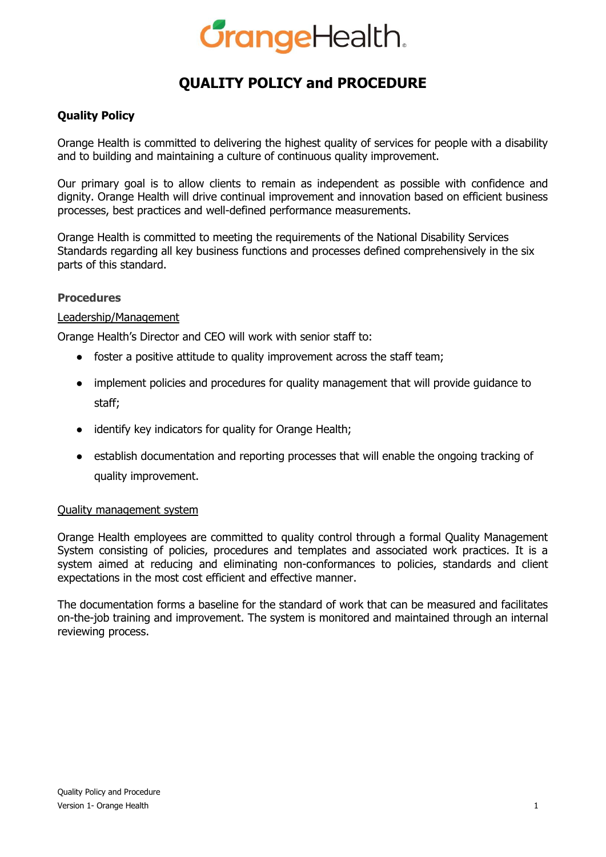# **GrangeHealth.**

# **QUALITY POLICY and PROCEDURE**

# **Quality Policy**

Orange Health is committed to delivering the highest quality of services for people with a disability and to building and maintaining a culture of continuous quality improvement.

Our primary goal is to allow clients to remain as independent as possible with confidence and dignity. Orange Health will drive continual improvement and innovation based on efficient business processes, best practices and well-defined performance measurements.

Orange Health is committed to meeting the requirements of the National Disability Services Standards regarding all key business functions and processes defined comprehensively in the six parts of this standard.

### **Procedures**

### Leadership/Management

Orange Health's Director and CEO will work with senior staff to:

- foster a positive attitude to quality improvement across the staff team;
- implement policies and procedures for quality management that will provide guidance to staff;
- identify key indicators for quality for Orange Health;
- establish documentation and reporting processes that will enable the ongoing tracking of quality improvement.

### Quality management system

Orange Health employees are committed to quality control through a formal Quality Management System consisting of policies, procedures and templates and associated work practices. It is a system aimed at reducing and eliminating non-conformances to policies, standards and client expectations in the most cost efficient and effective manner.

The documentation forms a baseline for the standard of work that can be measured and facilitates on-the-job training and improvement. The system is monitored and maintained through an internal reviewing process.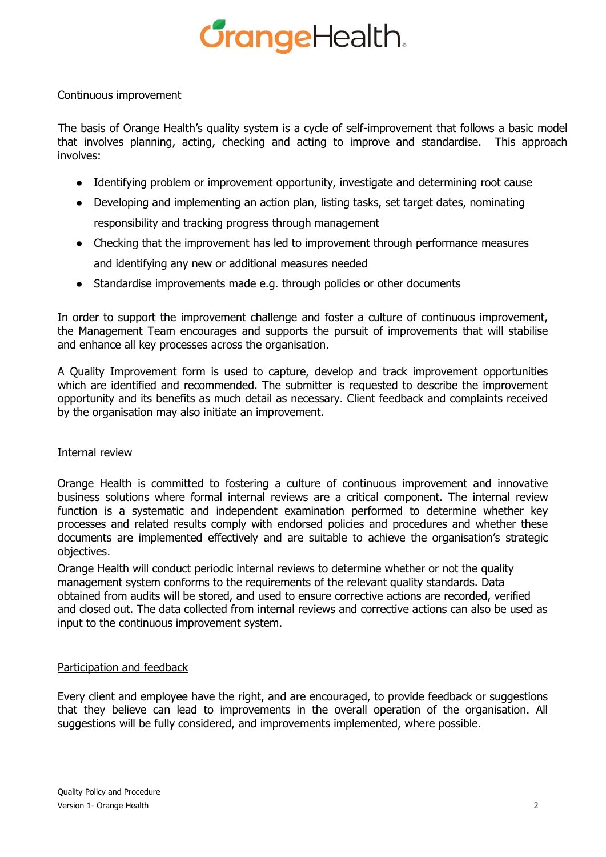# **GrangeHealth.**

### Continuous improvement

The basis of Orange Health's quality system is a cycle of self-improvement that follows a basic model that involves planning, acting, checking and acting to improve and standardise. This approach involves:

- Identifying problem or improvement opportunity, investigate and determining root cause
- Developing and implementing an action plan, listing tasks, set target dates, nominating responsibility and tracking progress through management
- Checking that the improvement has led to improvement through performance measures and identifying any new or additional measures needed
- Standardise improvements made e.g. through policies or other documents

In order to support the improvement challenge and foster a culture of continuous improvement, the Management Team encourages and supports the pursuit of improvements that will stabilise and enhance all key processes across the organisation.

A Quality Improvement form is used to capture, develop and track improvement opportunities which are identified and recommended. The submitter is requested to describe the improvement opportunity and its benefits as much detail as necessary. Client feedback and complaints received by the organisation may also initiate an improvement.

### Internal review

Orange Health is committed to fostering a culture of continuous improvement and innovative business solutions where formal internal reviews are a critical component. The internal review function is a systematic and independent examination performed to determine whether key processes and related results comply with endorsed policies and procedures and whether these documents are implemented effectively and are suitable to achieve the organisation's strategic objectives.

Orange Health will conduct periodic internal reviews to determine whether or not the quality management system conforms to the requirements of the relevant quality standards. Data obtained from audits will be stored, and used to ensure corrective actions are recorded, verified and closed out. The data collected from internal reviews and corrective actions can also be used as input to the continuous improvement system.

## Participation and feedback

Every client and employee have the right, and are encouraged, to provide feedback or suggestions that they believe can lead to improvements in the overall operation of the organisation. All suggestions will be fully considered, and improvements implemented, where possible.